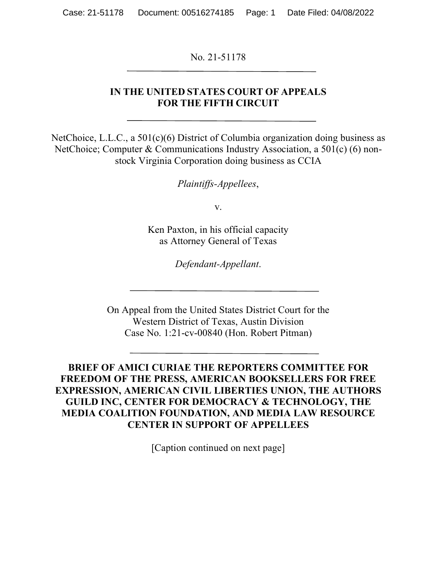No. 21-51178

#### **IN THE UNITED STATES COURT OF APPEALS FOR THE FIFTH CIRCUIT**

NetChoice, L.L.C., a 501(c)(6) District of Columbia organization doing business as NetChoice; Computer & Communications Industry Association, a 501(c) (6) nonstock Virginia Corporation doing business as CCIA

*Plaintiffs-Appellees*,

v.

Ken Paxton, in his official capacity as Attorney General of Texas

*Defendant-Appellant*.

On Appeal from the United States District Court for the Western District of Texas, Austin Division Case No. 1:21-cv-00840 (Hon. Robert Pitman)

**BRIEF OF AMICI CURIAE THE REPORTERS COMMITTEE FOR FREEDOM OF THE PRESS, AMERICAN BOOKSELLERS FOR FREE EXPRESSION, AMERICAN CIVIL LIBERTIES UNION, THE AUTHORS GUILD INC, CENTER FOR DEMOCRACY & TECHNOLOGY, THE MEDIA COALITION FOUNDATION, AND MEDIA LAW RESOURCE CENTER IN SUPPORT OF APPELLEES**

[Caption continued on next page]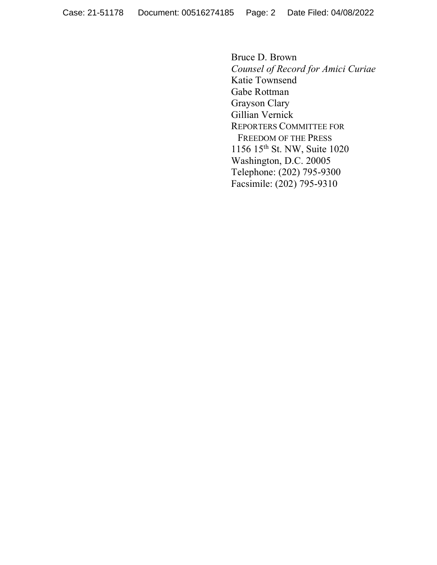Bruce D. Brown *Counsel of Record for Amici Curiae* Katie Townsend Gabe Rottman Grayson Clary Gillian Vernick REPORTERS COMMITTEE FOR FREEDOM OF THE PRESS 1156 15th St. NW, Suite 1020 Washington, D.C. 20005 Telephone: (202) 795-9300 Facsimile: (202) 795-9310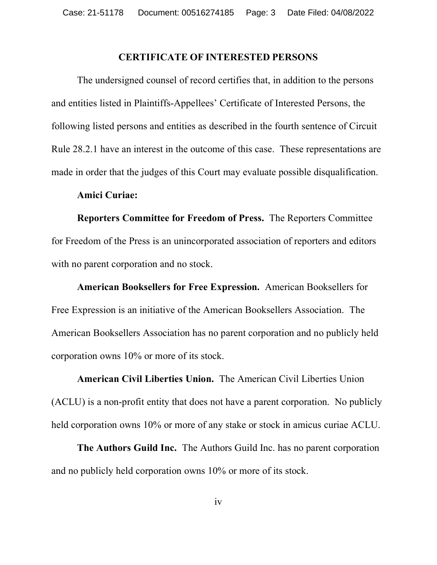#### **CERTIFICATE OF INTERESTED PERSONS**

The undersigned counsel of record certifies that, in addition to the persons and entities listed in Plaintiffs-Appellees' Certificate of Interested Persons, the following listed persons and entities as described in the fourth sentence of Circuit Rule 28.2.1 have an interest in the outcome of this case. These representations are made in order that the judges of this Court may evaluate possible disqualification.

#### **Amici Curiae:**

**Reporters Committee for Freedom of Press.** The Reporters Committee for Freedom of the Press is an unincorporated association of reporters and editors with no parent corporation and no stock.

**American Booksellers for Free Expression.** American Booksellers for Free Expression is an initiative of the American Booksellers Association. The American Booksellers Association has no parent corporation and no publicly held corporation owns 10% or more of its stock.

**American Civil Liberties Union.** The American Civil Liberties Union (ACLU) is a non-profit entity that does not have a parent corporation. No publicly held corporation owns 10% or more of any stake or stock in amicus curiae ACLU.

**The Authors Guild Inc.** The Authors Guild Inc. has no parent corporation and no publicly held corporation owns 10% or more of its stock.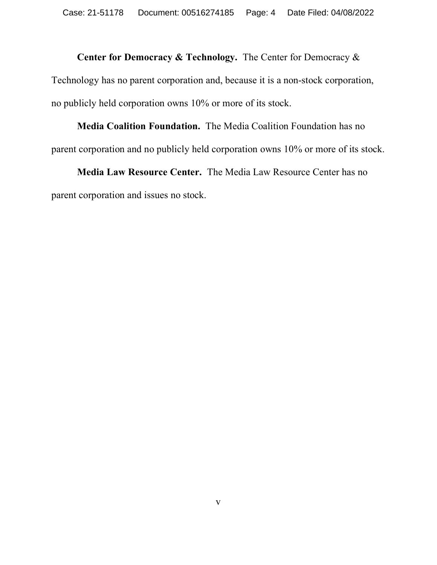# **Center for Democracy & Technology.** The Center for Democracy & Technology has no parent corporation and, because it is a non-stock corporation, no publicly held corporation owns 10% or more of its stock.

## **Media Coalition Foundation.** The Media Coalition Foundation has no parent corporation and no publicly held corporation owns 10% or more of its stock.

## **Media Law Resource Center.** The Media Law Resource Center has no parent corporation and issues no stock.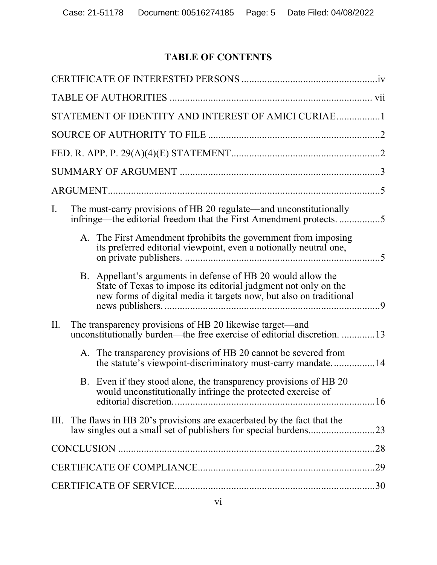## **TABLE OF CONTENTS**

| STATEMENT OF IDENTITY AND INTEREST OF AMICI CURIAE1                                                                                                                                                      |                |
|----------------------------------------------------------------------------------------------------------------------------------------------------------------------------------------------------------|----------------|
|                                                                                                                                                                                                          |                |
|                                                                                                                                                                                                          |                |
|                                                                                                                                                                                                          |                |
|                                                                                                                                                                                                          |                |
| The must-carry provisions of HB 20 regulate—and unconstitutionally<br>I.<br>infringe—the editorial freedom that the First Amendment protects5                                                            |                |
| A. The First Amendment fprohibits the government from imposing<br>its preferred editorial viewpoint, even a notionally neutral one,                                                                      |                |
| Appellant's arguments in defense of HB 20 would allow the<br>B.<br>State of Texas to impose its editorial judgment not only on the<br>new forms of digital media it targets now, but also on traditional | $\overline{9}$ |
| II.<br>The transparency provisions of HB 20 likewise target—and<br>unconstitutionally burden—the free exercise of editorial discretion. 13                                                               |                |
| A. The transparency provisions of HB 20 cannot be severed from<br>the statute's viewpoint-discriminatory must-carry mandate14                                                                            |                |
| B. Even if they stood alone, the transparency provisions of HB 20<br>would unconstitutionally infringe the protected exercise of                                                                         |                |
| III. The flaws in HB 20's provisions are exacerbated by the fact that the                                                                                                                                |                |
|                                                                                                                                                                                                          |                |
|                                                                                                                                                                                                          |                |
|                                                                                                                                                                                                          |                |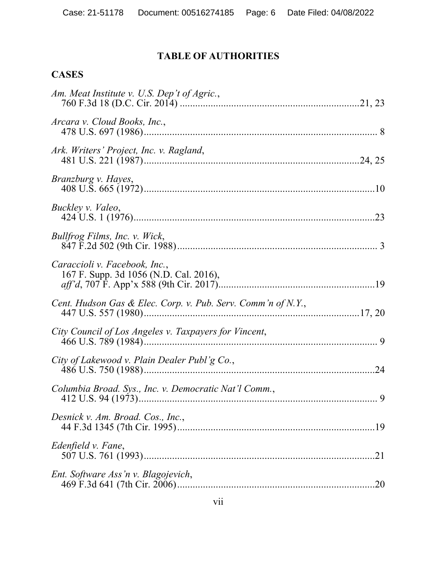### **TABLE OF AUTHORITIES**

### **CASES**

| Am. Meat Institute v. U.S. Dep't of Agric.,                             |    |
|-------------------------------------------------------------------------|----|
| Arcara v. Cloud Books, Inc.,                                            |    |
| Ark. Writers' Project, Inc. v. Ragland,                                 |    |
| <i>Branzburg v. Hayes,</i>                                              |    |
| Buckley v. Valeo,                                                       |    |
| Bullfrog Films, Inc. v. Wick,                                           |    |
| Caraccioli v. Facebook, Inc.,<br>167 F. Supp. 3d 1056 (N.D. Cal. 2016), |    |
| Cent. Hudson Gas & Elec. Corp. v. Pub. Serv. Comm'n of N.Y.,            |    |
| City Council of Los Angeles v. Taxpayers for Vincent,                   |    |
| City of Lakewood v. Plain Dealer Publ'g Co.,                            | 24 |
| Columbia Broad. Sys., Inc. v. Democratic Nat'l Comm.,                   |    |
| Desnick v. Am. Broad. Cos., Inc.,                                       |    |
| Edenfield v. Fane,                                                      |    |
| Ent. Software Ass'n v. Blagojevich,                                     |    |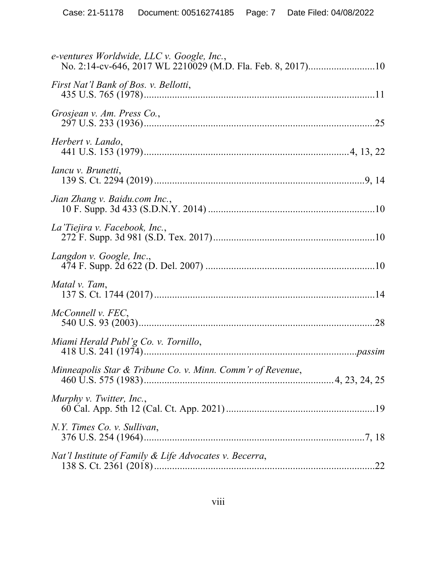| e-ventures Worldwide, LLC v. Google, Inc.,                 |  |
|------------------------------------------------------------|--|
| First Nat'l Bank of Bos. v. Bellotti,                      |  |
| Grosjean v. Am. Press Co.,                                 |  |
| Herbert v. Lando,                                          |  |
| <i>Iancu v. Brunetti,</i>                                  |  |
| Jian Zhang v. Baidu.com Inc.,                              |  |
| La Tiejira v. Facebook, Inc.,                              |  |
| Langdon v. Google, Inc.,                                   |  |
| Matal v. Tam,                                              |  |
| McConnell v. FEC,                                          |  |
| Miami Herald Publ'g Co. v. Tornillo,                       |  |
| Minneapolis Star & Tribune Co. v. Minn. Comm'r of Revenue, |  |
| Murphy v. Twitter, Inc.,                                   |  |
| N.Y. Times Co. v. Sullivan,                                |  |
| Nat'l Institute of Family & Life Advocates v. Becerra,     |  |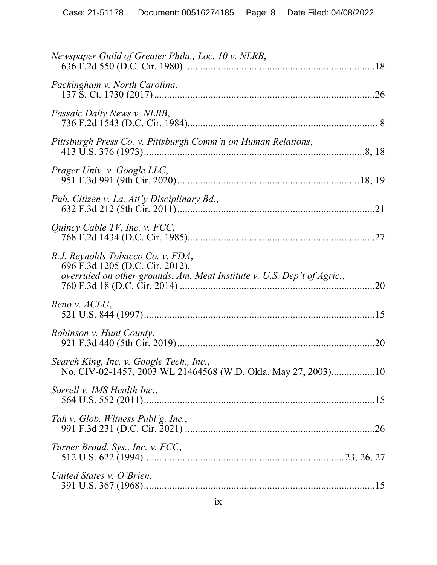| Newspaper Guild of Greater Phila., Loc. 10 v. NLRB,                                                                                             |     |
|-------------------------------------------------------------------------------------------------------------------------------------------------|-----|
| Packingham v. North Carolina,                                                                                                                   |     |
| Passaic Daily News v. NLRB,                                                                                                                     |     |
| Pittsburgh Press Co. v. Pittsburgh Comm'n on Human Relations,                                                                                   |     |
| Prager Univ. v. Google LLC,                                                                                                                     |     |
| Pub. Citizen v. La. Att'y Disciplinary Bd.,                                                                                                     |     |
| Quincy Cable TV, Inc. v. FCC,                                                                                                                   |     |
| R.J. Reynolds Tobacco Co. v. FDA,<br>696 F.3d 1205 (D.C. Cir. 2012),<br>overruled on other grounds, Am. Meat Institute v. U.S. Dep't of Agric., | 20  |
| Reno v. ACLU,                                                                                                                                   |     |
| Robinson v. Hunt County,                                                                                                                        | .20 |
| Search King, Inc. v. Google Tech., Inc.,<br>No. CIV-02-1457, 2003 WL 21464568 (W.D. Okla. May 27, 2003)10                                       |     |
| Sorrell v. IMS Health Inc.,                                                                                                                     |     |
| Tah v. Glob. Witness Publ'g, Inc.,                                                                                                              |     |
| Turner Broad. Sys., Inc. v. FCC,                                                                                                                |     |
| United States v. O'Brien,                                                                                                                       |     |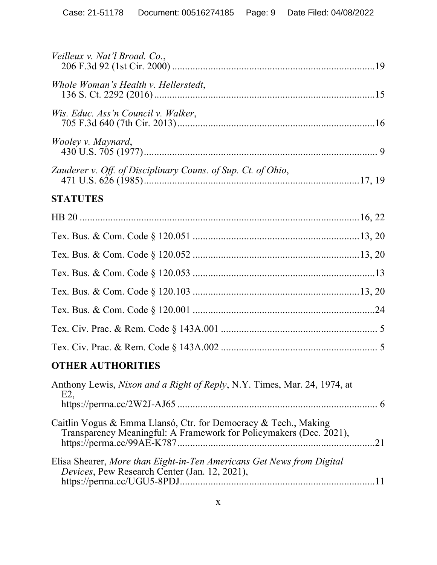| Veilleux v. Nat'l Broad. Co.,                                                                                                               |  |
|---------------------------------------------------------------------------------------------------------------------------------------------|--|
| Whole Woman's Health v. Hellerstedt,                                                                                                        |  |
| Wis. Educ. Ass'n Council v. Walker,                                                                                                         |  |
| <i>Wooley v. Maynard,</i>                                                                                                                   |  |
| Zauderer v. Off. of Disciplinary Couns. of Sup. Ct. of Ohio,                                                                                |  |
| <b>STATUTES</b>                                                                                                                             |  |
|                                                                                                                                             |  |
|                                                                                                                                             |  |
|                                                                                                                                             |  |
|                                                                                                                                             |  |
|                                                                                                                                             |  |
|                                                                                                                                             |  |
|                                                                                                                                             |  |
|                                                                                                                                             |  |
| <b>OTHER AUTHORITIES</b>                                                                                                                    |  |
| Anthony Lewis, Nixon and a Right of Reply, N.Y. Times, Mar. 24, 1974, at<br>E2                                                              |  |
| Caitlin Vogus & Emma Llansó, Ctr. for Democracy & Tech., Making<br>Transparency Meaningful: A Framework for Policymakers (Dec. 2021),<br>21 |  |
| Elisa Shearer, More than Eight-in-Ten Americans Get News from Digital<br>Devices, Pew Research Center (Jan. 12, 2021),                      |  |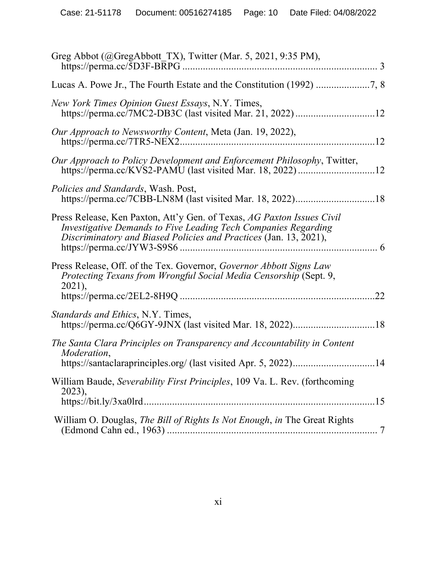| Greg Abbot (@GregAbbott_TX), Twitter (Mar. 5, 2021, 9:35 PM),                                                                                                                                                 |    |
|---------------------------------------------------------------------------------------------------------------------------------------------------------------------------------------------------------------|----|
|                                                                                                                                                                                                               |    |
| New York Times Opinion Guest Essays, N.Y. Times,                                                                                                                                                              |    |
| Our Approach to Newsworthy Content, Meta (Jan. 19, 2022),                                                                                                                                                     |    |
| Our Approach to Policy Development and Enforcement Philosophy, Twitter,                                                                                                                                       |    |
| <i>Policies and Standards</i> , Wash. Post,                                                                                                                                                                   |    |
| Press Release, Ken Paxton, Att'y Gen. of Texas, AG Paxton Issues Civil<br>Investigative Demands to Five Leading Tech Companies Regarding<br>Discriminatory and Biased Policies and Practices (Jan. 13, 2021), |    |
| Press Release, Off. of the Tex. Governor, Governor Abbott Signs Law<br>Protecting Texans from Wrongful Social Media Censorship (Sept. 9,<br>2021),                                                            | 22 |
| Standards and Ethics, N.Y. Times,                                                                                                                                                                             |    |
| The Santa Clara Principles on Transparency and Accountability in Content<br>Moderation,                                                                                                                       |    |
| William Baude, Severability First Principles, 109 Va. L. Rev. (forthcoming<br>2023),                                                                                                                          |    |
| William O. Douglas, The Bill of Rights Is Not Enough, in The Great Rights                                                                                                                                     |    |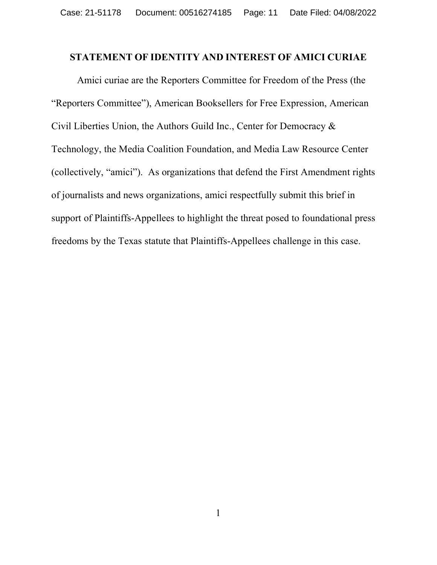#### **STATEMENT OF IDENTITY AND INTEREST OF AMICI CURIAE**

Amici curiae are the Reporters Committee for Freedom of the Press (the "Reporters Committee"), American Booksellers for Free Expression, American Civil Liberties Union, the Authors Guild Inc., Center for Democracy & Technology, the Media Coalition Foundation, and Media Law Resource Center (collectively, "amici"). As organizations that defend the First Amendment rights of journalists and news organizations, amici respectfully submit this brief in support of Plaintiffs-Appellees to highlight the threat posed to foundational press freedoms by the Texas statute that Plaintiffs-Appellees challenge in this case.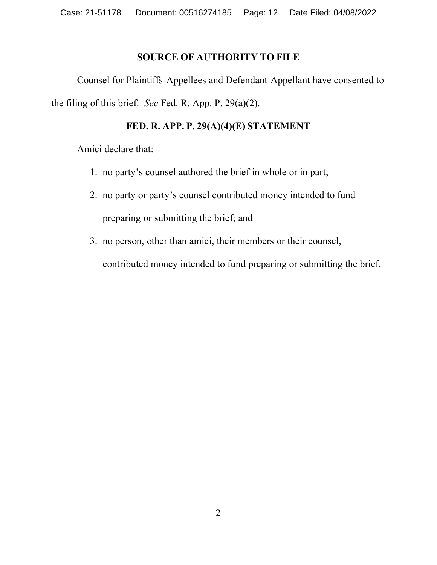#### **SOURCE OF AUTHORITY TO FILE**

Counsel for Plaintiffs-Appellees and Defendant-Appellant have consented to the filing of this brief. *See* Fed. R. App. P. 29(a)(2).

#### **FED. R. APP. P. 29(A)(4)(E) STATEMENT**

Amici declare that:

- 1. no party's counsel authored the brief in whole or in part;
- 2. no party or party's counsel contributed money intended to fund preparing or submitting the brief; and
- 3. no person, other than amici, their members or their counsel,

contributed money intended to fund preparing or submitting the brief.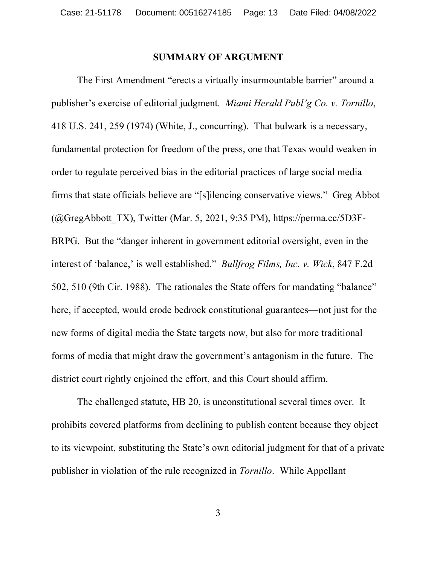#### **SUMMARY OF ARGUMENT**

The First Amendment "erects a virtually insurmountable barrier" around a publisher's exercise of editorial judgment. *Miami Herald Publ'g Co. v. Tornillo*, 418 U.S. 241, 259 (1974) (White, J., concurring). That bulwark is a necessary, fundamental protection for freedom of the press, one that Texas would weaken in order to regulate perceived bias in the editorial practices of large social media firms that state officials believe are "[s]ilencing conservative views." Greg Abbot  $(Q)$ GregAbbott TX), Twitter (Mar. 5, 2021, 9:35 PM), https://perma.cc/5D3F-BRPG. But the "danger inherent in government editorial oversight, even in the interest of 'balance,' is well established." *Bullfrog Films, Inc. v. Wick*, 847 F.2d 502, 510 (9th Cir. 1988). The rationales the State offers for mandating "balance" here, if accepted, would erode bedrock constitutional guarantees—not just for the new forms of digital media the State targets now, but also for more traditional forms of media that might draw the government's antagonism in the future. The district court rightly enjoined the effort, and this Court should affirm.

The challenged statute, HB 20, is unconstitutional several times over. It prohibits covered platforms from declining to publish content because they object to its viewpoint, substituting the State's own editorial judgment for that of a private publisher in violation of the rule recognized in *Tornillo*.While Appellant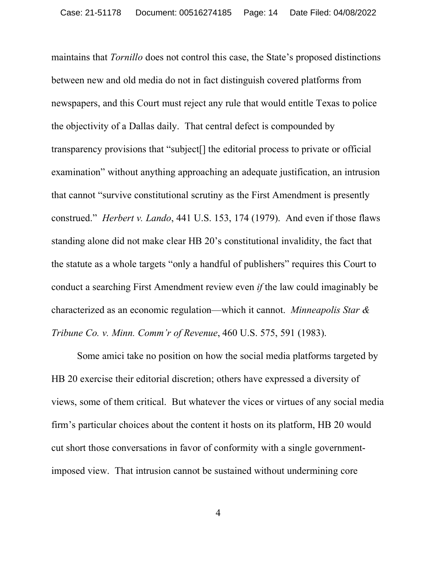maintains that *Tornillo* does not control this case, the State's proposed distinctions between new and old media do not in fact distinguish covered platforms from newspapers, and this Court must reject any rule that would entitle Texas to police the objectivity of a Dallas daily. That central defect is compounded by transparency provisions that "subject[] the editorial process to private or official examination" without anything approaching an adequate justification, an intrusion that cannot "survive constitutional scrutiny as the First Amendment is presently construed." *Herbert v. Lando*, 441 U.S. 153, 174 (1979). And even if those flaws standing alone did not make clear HB 20's constitutional invalidity, the fact that the statute as a whole targets "only a handful of publishers" requires this Court to conduct a searching First Amendment review even *if* the law could imaginably be characterized as an economic regulation—which it cannot. *Minneapolis Star & Tribune Co. v. Minn. Comm'r of Revenue*, 460 U.S. 575, 591 (1983).

Some amici take no position on how the social media platforms targeted by HB 20 exercise their editorial discretion; others have expressed a diversity of views, some of them critical. But whatever the vices or virtues of any social media firm's particular choices about the content it hosts on its platform, HB 20 would cut short those conversations in favor of conformity with a single governmentimposed view. That intrusion cannot be sustained without undermining core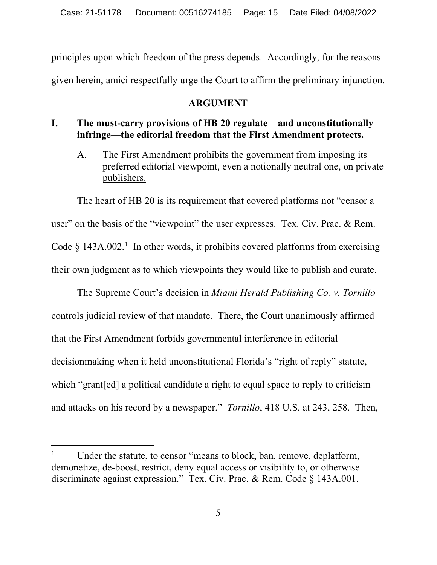principles upon which freedom of the press depends. Accordingly, for the reasons given herein, amici respectfully urge the Court to affirm the preliminary injunction.

#### **ARGUMENT**

#### **I. The must-carry provisions of HB 20 regulate––and unconstitutionally infringe––the editorial freedom that the First Amendment protects.**

A. The First Amendment prohibits the government from imposing its preferred editorial viewpoint, even a notionally neutral one, on private publishers.

The heart of HB 20 is its requirement that covered platforms not "censor a user" on the basis of the "viewpoint" the user expresses. Tex. Civ. Prac. & Rem. Code  $\S$  143A.002.<sup>1</sup> In other words, it prohibits covered platforms from exercising their own judgment as to which viewpoints they would like to publish and curate.

The Supreme Court's decision in *Miami Herald Publishing Co. v. Tornillo* controls judicial review of that mandate. There, the Court unanimously affirmed that the First Amendment forbids governmental interference in editorial decisionmaking when it held unconstitutional Florida's "right of reply" statute, which "grant[ed] a political candidate a right to equal space to reply to criticism and attacks on his record by a newspaper." *Tornillo*, 418 U.S. at 243, 258. Then,

Under the statute, to censor "means to block, ban, remove, deplatform, demonetize, de-boost, restrict, deny equal access or visibility to, or otherwise discriminate against expression." Tex. Civ. Prac. & Rem. Code § 143A.001.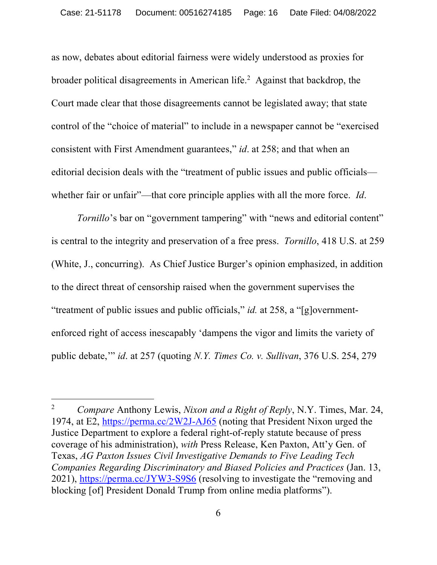as now, debates about editorial fairness were widely understood as proxies for broader political disagreements in American life.<sup>2</sup> Against that backdrop, the Court made clear that those disagreements cannot be legislated away; that state control of the "choice of material" to include in a newspaper cannot be "exercised consistent with First Amendment guarantees," *id*. at 258; and that when an editorial decision deals with the "treatment of public issues and public officials whether fair or unfair"—that core principle applies with all the more force. *Id*.

*Tornillo*'s bar on "government tampering" with "news and editorial content" is central to the integrity and preservation of a free press. *Tornillo*, 418 U.S. at 259 (White, J., concurring). As Chief Justice Burger's opinion emphasized, in addition to the direct threat of censorship raised when the government supervises the "treatment of public issues and public officials," *id.* at 258, a "[g]overnmentenforced right of access inescapably 'dampens the vigor and limits the variety of public debate,'" *id*. at 257 (quoting *N.Y. Times Co. v. Sullivan*, 376 U.S. 254, 279

l

<sup>2</sup> *Compare* Anthony Lewis, *Nixon and a Right of Reply*, N.Y. Times, Mar. 24, 1974, at E2, https://perma.cc/2W2J-AJ65 (noting that President Nixon urged the Justice Department to explore a federal right-of-reply statute because of press coverage of his administration), *with* Press Release, Ken Paxton, Att'y Gen. of Texas, *AG Paxton Issues Civil Investigative Demands to Five Leading Tech Companies Regarding Discriminatory and Biased Policies and Practices* (Jan. 13, 2021), https://perma.cc/JYW3-S9S6 (resolving to investigate the "removing and blocking [of] President Donald Trump from online media platforms").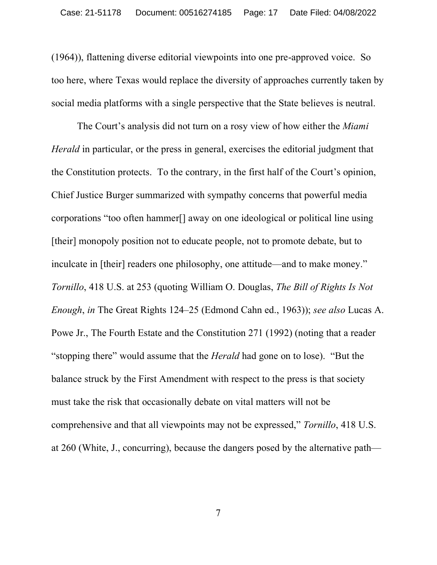(1964)), flattening diverse editorial viewpoints into one pre-approved voice. So too here, where Texas would replace the diversity of approaches currently taken by social media platforms with a single perspective that the State believes is neutral.

The Court's analysis did not turn on a rosy view of how either the *Miami Herald* in particular, or the press in general, exercises the editorial judgment that the Constitution protects. To the contrary, in the first half of the Court's opinion, Chief Justice Burger summarized with sympathy concerns that powerful media corporations "too often hammer[] away on one ideological or political line using [their] monopoly position not to educate people, not to promote debate, but to inculcate in [their] readers one philosophy, one attitude—and to make money." *Tornillo*, 418 U.S. at 253 (quoting William O. Douglas, *The Bill of Rights Is Not Enough*, *in* The Great Rights 124–25 (Edmond Cahn ed., 1963)); *see also* Lucas A. Powe Jr., The Fourth Estate and the Constitution 271 (1992) (noting that a reader "stopping there" would assume that the *Herald* had gone on to lose). "But the balance struck by the First Amendment with respect to the press is that society must take the risk that occasionally debate on vital matters will not be comprehensive and that all viewpoints may not be expressed," *Tornillo*, 418 U.S. at 260 (White, J., concurring), because the dangers posed by the alternative path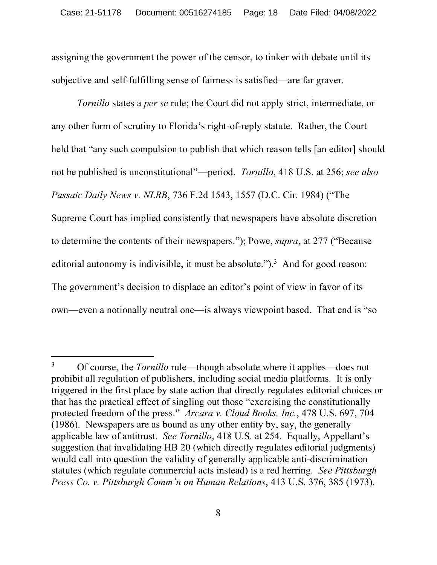assigning the government the power of the censor, to tinker with debate until its subjective and self-fulfilling sense of fairness is satisfied—are far graver.

*Tornillo* states a *per se* rule; the Court did not apply strict, intermediate, or any other form of scrutiny to Florida's right-of-reply statute. Rather, the Court held that "any such compulsion to publish that which reason tells [an editor] should not be published is unconstitutional"—period. *Tornillo*, 418 U.S. at 256; *see also Passaic Daily News v. NLRB*, 736 F.2d 1543, 1557 (D.C. Cir. 1984) ("The Supreme Court has implied consistently that newspapers have absolute discretion to determine the contents of their newspapers."); Powe, *supra*, at 277 ("Because editorial autonomy is indivisible, it must be absolute.").<sup>3</sup> And for good reason: The government's decision to displace an editor's point of view in favor of its own—even a notionally neutral one—is always viewpoint based. That end is "so

<sup>3</sup> Of course, the *Tornillo* rule—though absolute where it applies—does not prohibit all regulation of publishers, including social media platforms. It is only triggered in the first place by state action that directly regulates editorial choices or that has the practical effect of singling out those "exercising the constitutionally protected freedom of the press." *Arcara v. Cloud Books, Inc.*, 478 U.S. 697, 704 (1986). Newspapers are as bound as any other entity by, say, the generally applicable law of antitrust. *See Tornillo*, 418 U.S. at 254. Equally, Appellant's suggestion that invalidating HB 20 (which directly regulates editorial judgments) would call into question the validity of generally applicable anti-discrimination statutes (which regulate commercial acts instead) is a red herring. *See Pittsburgh Press Co. v. Pittsburgh Comm'n on Human Relations*, 413 U.S. 376, 385 (1973).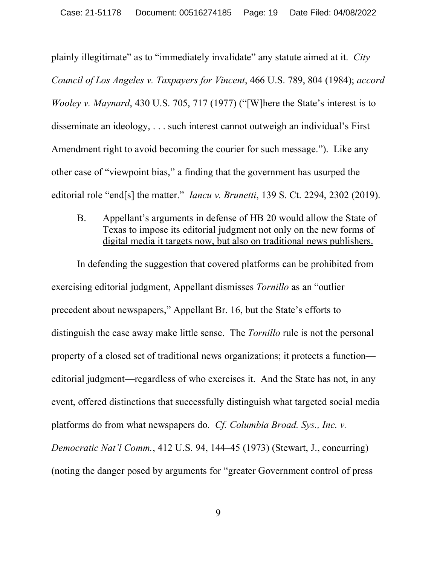plainly illegitimate" as to "immediately invalidate" any statute aimed at it. *City Council of Los Angeles v. Taxpayers for Vincent*, 466 U.S. 789, 804 (1984); *accord Wooley v. Maynard*, 430 U.S. 705, 717 (1977) ("[W]here the State's interest is to disseminate an ideology, . . . such interest cannot outweigh an individual's First Amendment right to avoid becoming the courier for such message."). Like any other case of "viewpoint bias," a finding that the government has usurped the editorial role "end[s] the matter." *Iancu v. Brunetti*, 139 S. Ct. 2294, 2302 (2019).

B. Appellant's arguments in defense of HB 20 would allow the State of Texas to impose its editorial judgment not only on the new forms of digital media it targets now, but also on traditional news publishers.

In defending the suggestion that covered platforms can be prohibited from exercising editorial judgment, Appellant dismisses *Tornillo* as an "outlier precedent about newspapers," Appellant Br. 16, but the State's efforts to distinguish the case away make little sense. The *Tornillo* rule is not the personal property of a closed set of traditional news organizations; it protects a function editorial judgment—regardless of who exercises it.And the State has not, in any event, offered distinctions that successfully distinguish what targeted social media platforms do from what newspapers do. *Cf. Columbia Broad. Sys., Inc. v. Democratic Nat'l Comm.*, 412 U.S. 94, 144–45 (1973) (Stewart, J., concurring) (noting the danger posed by arguments for "greater Government control of press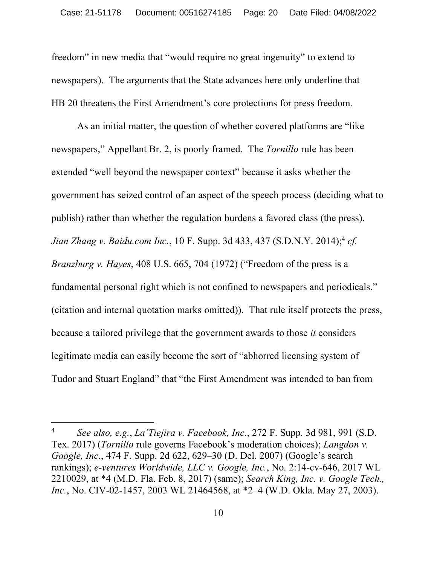freedom" in new media that "would require no great ingenuity" to extend to newspapers). The arguments that the State advances here only underline that HB 20 threatens the First Amendment's core protections for press freedom.

As an initial matter, the question of whether covered platforms are "like newspapers," Appellant Br. 2, is poorly framed. The *Tornillo* rule has been extended "well beyond the newspaper context" because it asks whether the government has seized control of an aspect of the speech process (deciding what to publish) rather than whether the regulation burdens a favored class (the press). *Jian Zhang v. Baidu.com Inc.*, 10 F. Supp. 3d 433, 437 (S.D.N.Y. 2014); <sup>4</sup> *cf. Branzburg v. Hayes*, 408 U.S. 665, 704 (1972) ("Freedom of the press is a fundamental personal right which is not confined to newspapers and periodicals." (citation and internal quotation marks omitted)). That rule itself protects the press, because a tailored privilege that the government awards to those *it* considers legitimate media can easily become the sort of "abhorred licensing system of Tudor and Stuart England" that "the First Amendment was intended to ban from

<sup>4</sup> *See also, e.g.*, *La'Tiejira v. Facebook, Inc.*, 272 F. Supp. 3d 981, 991 (S.D. Tex. 2017) (*Tornillo* rule governs Facebook's moderation choices); *Langdon v. Google, Inc*., 474 F. Supp. 2d 622, 629–30 (D. Del. 2007) (Google's search rankings); *e-ventures Worldwide, LLC v. Google, Inc.*, No. 2:14-cv-646, 2017 WL 2210029, at \*4 (M.D. Fla. Feb. 8, 2017) (same); *Search King, Inc. v. Google Tech., Inc.*, No. CIV-02-1457, 2003 WL 21464568, at \*2–4 (W.D. Okla. May 27, 2003).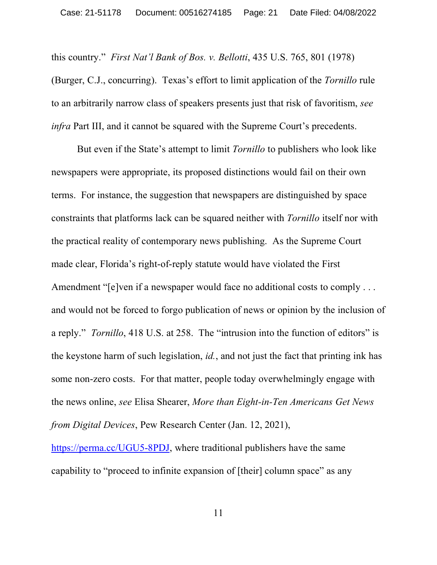this country." *First Nat'l Bank of Bos. v. Bellotti*, 435 U.S. 765, 801 (1978) (Burger, C.J., concurring). Texas's effort to limit application of the *Tornillo* rule to an arbitrarily narrow class of speakers presents just that risk of favoritism, *see infra* Part III, and it cannot be squared with the Supreme Court's precedents.

But even if the State's attempt to limit *Tornillo* to publishers who look like newspapers were appropriate, its proposed distinctions would fail on their own terms. For instance, the suggestion that newspapers are distinguished by space constraints that platforms lack can be squared neither with *Tornillo* itself nor with the practical reality of contemporary news publishing. As the Supreme Court made clear, Florida's right-of-reply statute would have violated the First Amendment "[e]ven if a newspaper would face no additional costs to comply . . . and would not be forced to forgo publication of news or opinion by the inclusion of a reply." *Tornillo*, 418 U.S. at 258. The "intrusion into the function of editors" is the keystone harm of such legislation, *id.*, and not just the fact that printing ink has some non-zero costs. For that matter, people today overwhelmingly engage with the news online, *see* Elisa Shearer, *More than Eight-in-Ten Americans Get News from Digital Devices*, Pew Research Center (Jan. 12, 2021),

https://perma.cc/UGU5-8PDJ, where traditional publishers have the same capability to "proceed to infinite expansion of [their] column space" as any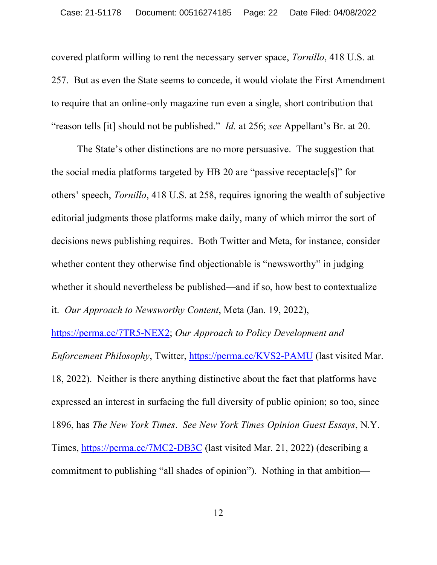covered platform willing to rent the necessary server space, *Tornillo*, 418 U.S. at 257. But as even the State seems to concede, it would violate the First Amendment to require that an online-only magazine run even a single, short contribution that "reason tells [it] should not be published." *Id.* at 256; *see* Appellant's Br. at 20.

The State's other distinctions are no more persuasive. The suggestion that the social media platforms targeted by HB 20 are "passive receptacle[s]" for others' speech, *Tornillo*, 418 U.S. at 258, requires ignoring the wealth of subjective editorial judgments those platforms make daily, many of which mirror the sort of decisions news publishing requires. Both Twitter and Meta, for instance, consider whether content they otherwise find objectionable is "newsworthy" in judging whether it should nevertheless be published—and if so, how best to contextualize it. *Our Approach to Newsworthy Content*, Meta (Jan. 19, 2022),

https://perma.cc/7TR5-NEX2; *Our Approach to Policy Development and Enforcement Philosophy*, Twitter, https://perma.cc/KVS2-PAMU (last visited Mar. 18, 2022). Neither is there anything distinctive about the fact that platforms have expressed an interest in surfacing the full diversity of public opinion; so too, since 1896, has *The New York Times*. *See New York Times Opinion Guest Essays*, N.Y. Times, https://perma.cc/7MC2-DB3C (last visited Mar. 21, 2022) (describing a commitment to publishing "all shades of opinion"). Nothing in that ambition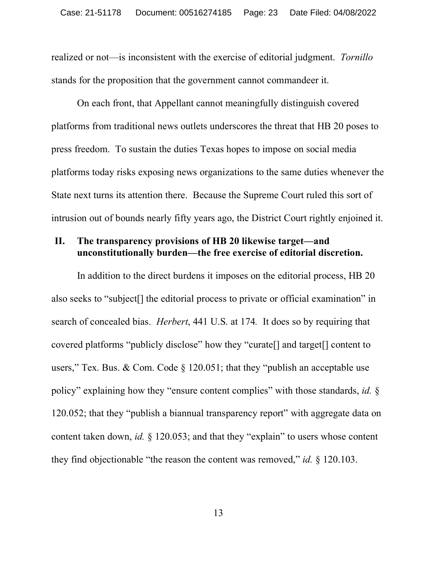realized or not—is inconsistent with the exercise of editorial judgment. *Tornillo*  stands for the proposition that the government cannot commandeer it.

On each front, that Appellant cannot meaningfully distinguish covered platforms from traditional news outlets underscores the threat that HB 20 poses to press freedom. To sustain the duties Texas hopes to impose on social media platforms today risks exposing news organizations to the same duties whenever the State next turns its attention there. Because the Supreme Court ruled this sort of intrusion out of bounds nearly fifty years ago, the District Court rightly enjoined it.

#### **II. The transparency provisions of HB 20 likewise target—and unconstitutionally burden—the free exercise of editorial discretion.**

In addition to the direct burdens it imposes on the editorial process, HB 20 also seeks to "subject[] the editorial process to private or official examination" in search of concealed bias. *Herbert*, 441 U.S. at 174*.* It does so by requiring that covered platforms "publicly disclose" how they "curate[] and target[] content to users," Tex. Bus. & Com. Code  $\S$  120.051; that they "publish an acceptable use policy" explaining how they "ensure content complies" with those standards, *id.* § 120.052; that they "publish a biannual transparency report" with aggregate data on content taken down, *id.* § 120.053; and that they "explain" to users whose content they find objectionable "the reason the content was removed," *id.* § 120.103.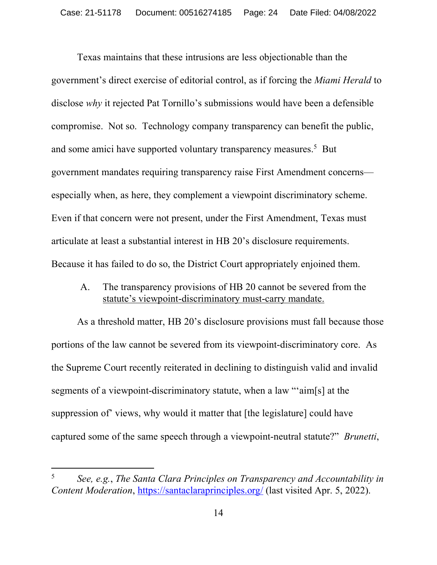Texas maintains that these intrusions are less objectionable than the government's direct exercise of editorial control, as if forcing the *Miami Herald* to disclose *why* it rejected Pat Tornillo's submissions would have been a defensible compromise. Not so. Technology company transparency can benefit the public, and some amici have supported voluntary transparency measures.<sup>5</sup> But government mandates requiring transparency raise First Amendment concerns especially when, as here, they complement a viewpoint discriminatory scheme. Even if that concern were not present, under the First Amendment, Texas must articulate at least a substantial interest in HB 20's disclosure requirements. Because it has failed to do so, the District Court appropriately enjoined them.

A. The transparency provisions of HB 20 cannot be severed from the statute's viewpoint-discriminatory must-carry mandate.

As a threshold matter, HB 20's disclosure provisions must fall because those portions of the law cannot be severed from its viewpoint-discriminatory core. As the Supreme Court recently reiterated in declining to distinguish valid and invalid segments of a viewpoint-discriminatory statute, when a law "aim[s] at the suppression of views, why would it matter that [the legislature] could have captured some of the same speech through a viewpoint-neutral statute?" *Brunetti*,

<sup>5</sup> *See, e.g.*, *The Santa Clara Principles on Transparency and Accountability in Content Moderation*, https://santaclaraprinciples.org/ (last visited Apr. 5, 2022).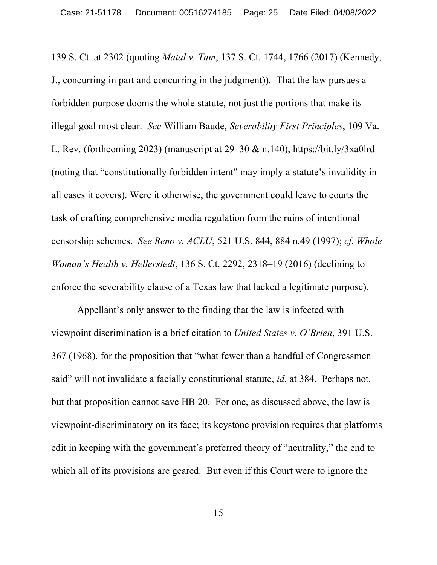139 S. Ct. at 2302 (quoting *Matal v. Tam*, 137 S. Ct. 1744, 1766 (2017) (Kennedy, J., concurring in part and concurring in the judgment)). That the law pursues a forbidden purpose dooms the whole statute, not just the portions that make its illegal goal most clear. *See* William Baude, *Severability First Principles*, 109 Va. L. Rev. (forthcoming 2023) (manuscript at  $29-30 \& n.140$ ), https://bit.ly/3xa0lrd (noting that "constitutionally forbidden intent" may imply a statute's invalidity in all cases it covers). Were it otherwise, the government could leave to courts the task of crafting comprehensive media regulation from the ruins of intentional censorship schemes. *See Reno v. ACLU*, 521 U.S. 844, 884 n.49 (1997); *cf. Whole Woman's Health v. Hellerstedt*, 136 S. Ct. 2292, 2318–19 (2016) (declining to enforce the severability clause of a Texas law that lacked a legitimate purpose).

Appellant's only answer to the finding that the law is infected with viewpoint discrimination is a brief citation to *United States v. O'Brien*, 391 U.S. 367 (1968), for the proposition that "what fewer than a handful of Congressmen said" will not invalidate a facially constitutional statute, *id.* at 384. Perhaps not, but that proposition cannot save HB 20. For one, as discussed above, the law is viewpoint-discriminatory on its face; its keystone provision requires that platforms edit in keeping with the government's preferred theory of "neutrality," the end to which all of its provisions are geared. But even if this Court were to ignore the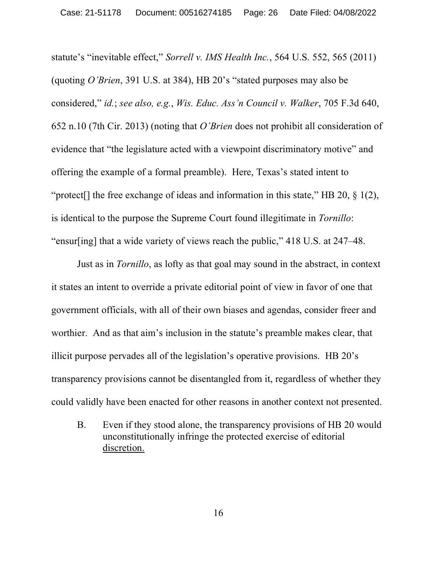statute's "inevitable effect," *Sorrell v. IMS Health Inc.*, 564 U.S. 552, 565 (2011) (quoting *O'Brien*, 391 U.S. at 384), HB 20's "stated purposes may also be considered," *id.*; *see also, e.g.*, *Wis. Educ. Ass'n Council v. Walker*, 705 F.3d 640, 652 n.10 (7th Cir. 2013) (noting that *O'Brien* does not prohibit all consideration of evidence that "the legislature acted with a viewpoint discriminatory motive" and offering the example of a formal preamble). Here, Texas's stated intent to "protect<sup>[]</sup> the free exchange of ideas and information in this state," HB 20,  $\S$  1(2), is identical to the purpose the Supreme Court found illegitimate in *Tornillo*: "ensur[ing] that a wide variety of views reach the public," 418 U.S. at 247–48.

Just as in *Tornillo*, as lofty as that goal may sound in the abstract, in context it states an intent to override a private editorial point of view in favor of one that government officials, with all of their own biases and agendas, consider freer and worthier. And as that aim's inclusion in the statute's preamble makes clear, that illicit purpose pervades all of the legislation's operative provisions. HB 20's transparency provisions cannot be disentangled from it, regardless of whether they could validly have been enacted for other reasons in another context not presented.

B. Even if they stood alone, the transparency provisions of HB 20 would unconstitutionally infringe the protected exercise of editorial discretion.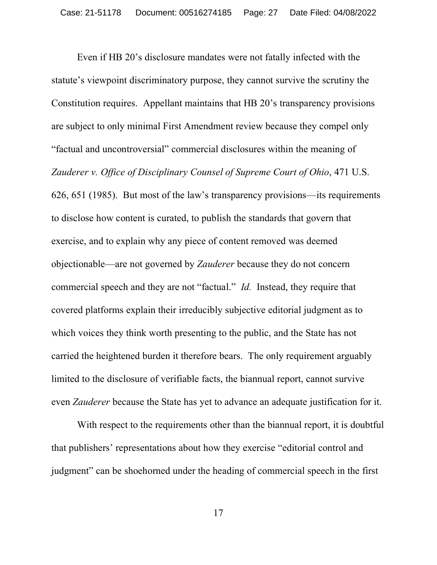Even if HB 20's disclosure mandates were not fatally infected with the statute's viewpoint discriminatory purpose, they cannot survive the scrutiny the Constitution requires. Appellant maintains that HB 20's transparency provisions are subject to only minimal First Amendment review because they compel only "factual and uncontroversial" commercial disclosures within the meaning of *Zauderer v. Office of Disciplinary Counsel of Supreme Court of Ohio*, 471 U.S. 626, 651 (1985). But most of the law's transparency provisions—its requirements to disclose how content is curated, to publish the standards that govern that exercise, and to explain why any piece of content removed was deemed objectionable—are not governed by *Zauderer* because they do not concern commercial speech and they are not "factual." *Id.* Instead, they require that covered platforms explain their irreducibly subjective editorial judgment as to which voices they think worth presenting to the public, and the State has not carried the heightened burden it therefore bears. The only requirement arguably limited to the disclosure of verifiable facts, the biannual report, cannot survive even *Zauderer* because the State has yet to advance an adequate justification for it.

With respect to the requirements other than the biannual report, it is doubtful that publishers' representations about how they exercise "editorial control and judgment" can be shoehorned under the heading of commercial speech in the first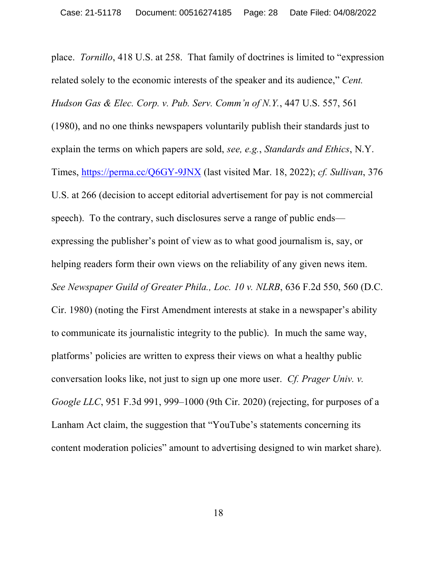place. *Tornillo*, 418 U.S. at 258. That family of doctrines is limited to "expression related solely to the economic interests of the speaker and its audience," *Cent. Hudson Gas & Elec. Corp. v. Pub. Serv. Comm'n of N.Y.*, 447 U.S. 557, 561 (1980), and no one thinks newspapers voluntarily publish their standards just to explain the terms on which papers are sold, *see, e.g.*, *Standards and Ethics*, N.Y. Times, https://perma.cc/Q6GY-9JNX (last visited Mar. 18, 2022); *cf. Sullivan*, 376 U.S. at 266 (decision to accept editorial advertisement for pay is not commercial speech). To the contrary, such disclosures serve a range of public ends expressing the publisher's point of view as to what good journalism is, say, or helping readers form their own views on the reliability of any given news item. *See Newspaper Guild of Greater Phila., Loc. 10 v. NLRB*, 636 F.2d 550, 560 (D.C. Cir. 1980) (noting the First Amendment interests at stake in a newspaper's ability to communicate its journalistic integrity to the public). In much the same way, platforms' policies are written to express their views on what a healthy public conversation looks like, not just to sign up one more user. *Cf. Prager Univ. v. Google LLC*, 951 F.3d 991, 999–1000 (9th Cir. 2020) (rejecting, for purposes of a Lanham Act claim, the suggestion that "YouTube's statements concerning its content moderation policies" amount to advertising designed to win market share).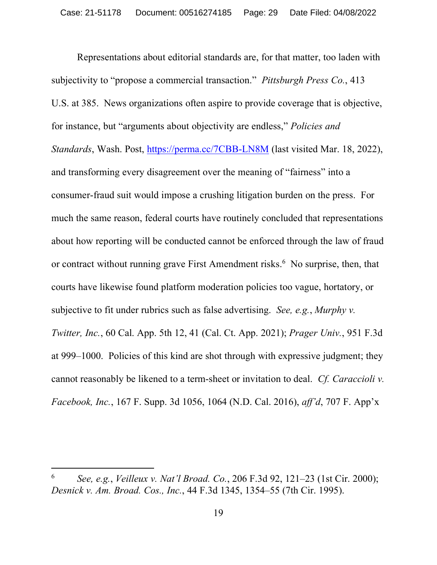Representations about editorial standards are, for that matter, too laden with subjectivity to "propose a commercial transaction." *Pittsburgh Press Co.*, 413 U.S. at 385. News organizations often aspire to provide coverage that is objective, for instance, but "arguments about objectivity are endless," *Policies and Standards*, Wash. Post, https://perma.cc/7CBB-LN8M (last visited Mar. 18, 2022), and transforming every disagreement over the meaning of "fairness" into a consumer-fraud suit would impose a crushing litigation burden on the press. For much the same reason, federal courts have routinely concluded that representations about how reporting will be conducted cannot be enforced through the law of fraud or contract without running grave First Amendment risks.<sup>6</sup> No surprise, then, that courts have likewise found platform moderation policies too vague, hortatory, or subjective to fit under rubrics such as false advertising. *See, e.g.*, *Murphy v. Twitter, Inc.*, 60 Cal. App. 5th 12, 41 (Cal. Ct. App. 2021); *Prager Univ.*, 951 F.3d at 999–1000. Policies of this kind are shot through with expressive judgment; they cannot reasonably be likened to a term-sheet or invitation to deal. *Cf. Caraccioli v. Facebook, Inc.*, 167 F. Supp. 3d 1056, 1064 (N.D. Cal. 2016), *aff'd*, 707 F. App'x

<sup>6</sup> *See, e.g.*, *Veilleux v. Nat'l Broad. Co.*, 206 F.3d 92, 121–23 (1st Cir. 2000); *Desnick v. Am. Broad. Cos., Inc.*, 44 F.3d 1345, 1354–55 (7th Cir. 1995).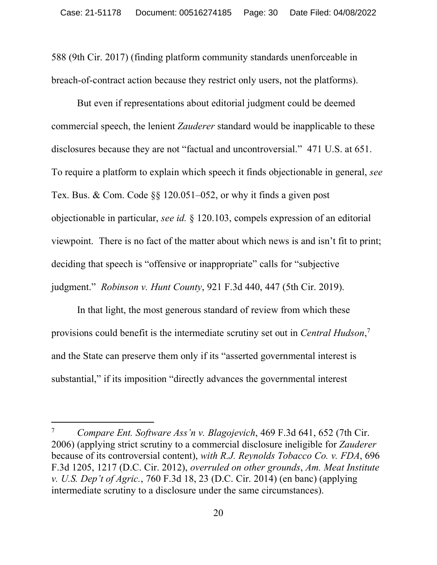588 (9th Cir. 2017) (finding platform community standards unenforceable in breach-of-contract action because they restrict only users, not the platforms).

But even if representations about editorial judgment could be deemed commercial speech, the lenient *Zauderer* standard would be inapplicable to these disclosures because they are not "factual and uncontroversial." 471 U.S. at 651. To require a platform to explain which speech it finds objectionable in general, *see* Tex. Bus. & Com. Code §§ 120.051–052, or why it finds a given post objectionable in particular, *see id.* § 120.103, compels expression of an editorial viewpoint. There is no fact of the matter about which news is and isn't fit to print; deciding that speech is "offensive or inappropriate" calls for "subjective judgment." *Robinson v. Hunt County*, 921 F.3d 440, 447 (5th Cir. 2019).

In that light, the most generous standard of review from which these provisions could benefit is the intermediate scrutiny set out in *Central Hudson*, 7 and the State can preserve them only if its "asserted governmental interest is substantial," if its imposition "directly advances the governmental interest

<sup>7</sup> *Compare Ent. Software Ass'n v. Blagojevich*, 469 F.3d 641, 652 (7th Cir. 2006) (applying strict scrutiny to a commercial disclosure ineligible for *Zauderer*  because of its controversial content), *with R.J. Reynolds Tobacco Co. v. FDA*, 696 F.3d 1205, 1217 (D.C. Cir. 2012), *overruled on other grounds*, *Am. Meat Institute v. U.S. Dep't of Agric.*, 760 F.3d 18, 23 (D.C. Cir. 2014) (en banc) (applying intermediate scrutiny to a disclosure under the same circumstances).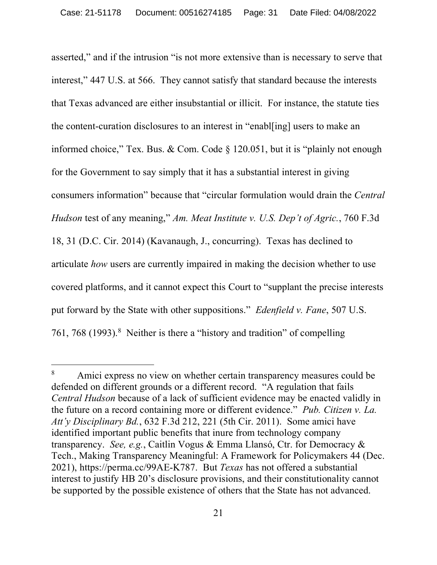asserted," and if the intrusion "is not more extensive than is necessary to serve that interest," 447 U.S. at 566. They cannot satisfy that standard because the interests that Texas advanced are either insubstantial or illicit. For instance, the statute ties the content-curation disclosures to an interest in "enabl[ing] users to make an informed choice," Tex. Bus. & Com. Code  $\S$  120.051, but it is "plainly not enough for the Government to say simply that it has a substantial interest in giving consumers information" because that "circular formulation would drain the *Central Hudson* test of any meaning," *Am. Meat Institute v. U.S. Dep't of Agric.*, 760 F.3d 18, 31 (D.C. Cir. 2014) (Kavanaugh, J., concurring). Texas has declined to articulate *how* users are currently impaired in making the decision whether to use covered platforms, and it cannot expect this Court to "supplant the precise interests put forward by the State with other suppositions." *Edenfield v. Fane*, 507 U.S. 761, 768 (1993). 8 Neither is there a "history and tradition" of compelling

<sup>&</sup>lt;sup>8</sup> Amici express no view on whether certain transparency measures could be defended on different grounds or a different record. "A regulation that fails *Central Hudson* because of a lack of sufficient evidence may be enacted validly in the future on a record containing more or different evidence." *Pub. Citizen v. La. Att'y Disciplinary Bd.*, 632 F.3d 212, 221 (5th Cir. 2011). Some amici have identified important public benefits that inure from technology company transparency. *See, e.g.*, Caitlin Vogus & Emma Llansó, Ctr. for Democracy & Tech., Making Transparency Meaningful: A Framework for Policymakers 44 (Dec. 2021), https://perma.cc/99AE-K787. But *Texas* has not offered a substantial interest to justify HB 20's disclosure provisions, and their constitutionality cannot be supported by the possible existence of others that the State has not advanced.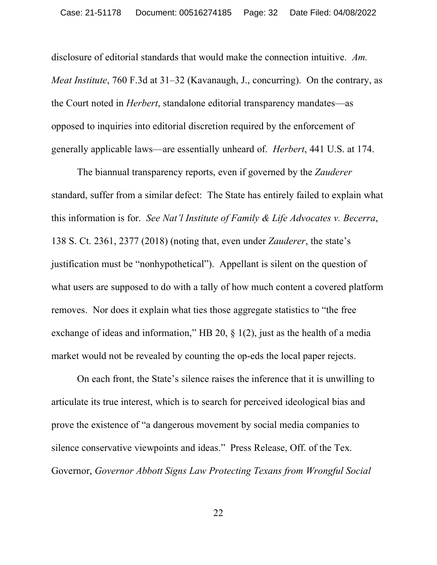disclosure of editorial standards that would make the connection intuitive. *Am. Meat Institute*, 760 F.3d at 31–32 (Kavanaugh, J., concurring). On the contrary, as the Court noted in *Herbert*, standalone editorial transparency mandates—as opposed to inquiries into editorial discretion required by the enforcement of generally applicable laws—are essentially unheard of. *Herbert*, 441 U.S. at 174.

The biannual transparency reports, even if governed by the *Zauderer* standard, suffer from a similar defect: The State has entirely failed to explain what this information is for. *See Nat'l Institute of Family & Life Advocates v. Becerra*, 138 S. Ct. 2361, 2377 (2018) (noting that, even under *Zauderer*, the state's justification must be "nonhypothetical"). Appellant is silent on the question of what users are supposed to do with a tally of how much content a covered platform removes. Nor does it explain what ties those aggregate statistics to "the free exchange of ideas and information," HB 20, § 1(2), just as the health of a media market would not be revealed by counting the op-eds the local paper rejects.

On each front, the State's silence raises the inference that it is unwilling to articulate its true interest, which is to search for perceived ideological bias and prove the existence of "a dangerous movement by social media companies to silence conservative viewpoints and ideas." Press Release, Off. of the Tex. Governor, *Governor Abbott Signs Law Protecting Texans from Wrongful Social*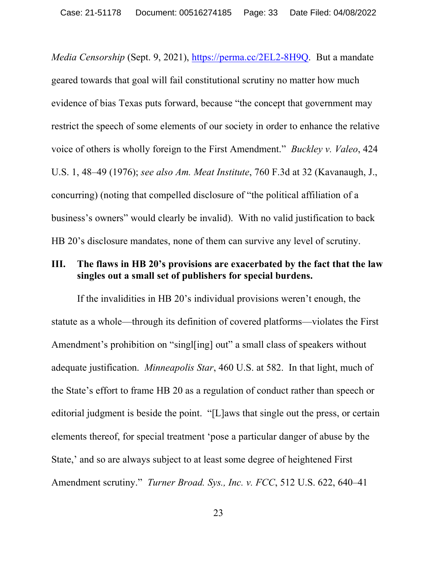*Media Censorship* (Sept. 9, 2021), https://perma.cc/2EL2-8H9Q. But a mandate geared towards that goal will fail constitutional scrutiny no matter how much evidence of bias Texas puts forward, because "the concept that government may restrict the speech of some elements of our society in order to enhance the relative voice of others is wholly foreign to the First Amendment." *Buckley v. Valeo*, 424 U.S. 1, 48–49 (1976); *see also Am. Meat Institute*, 760 F.3d at 32 (Kavanaugh, J., concurring) (noting that compelled disclosure of "the political affiliation of a business's owners" would clearly be invalid). With no valid justification to back HB 20's disclosure mandates, none of them can survive any level of scrutiny.

#### **III. The flaws in HB 20's provisions are exacerbated by the fact that the law singles out a small set of publishers for special burdens.**

If the invalidities in HB 20's individual provisions weren't enough, the statute as a whole—through its definition of covered platforms—violates the First Amendment's prohibition on "singl[ing] out" a small class of speakers without adequate justification. *Minneapolis Star*, 460 U.S. at 582. In that light, much of the State's effort to frame HB 20 as a regulation of conduct rather than speech or editorial judgment is beside the point. "[L]aws that single out the press, or certain elements thereof, for special treatment 'pose a particular danger of abuse by the State,' and so are always subject to at least some degree of heightened First Amendment scrutiny." *Turner Broad. Sys., Inc. v. FCC*, 512 U.S. 622, 640–41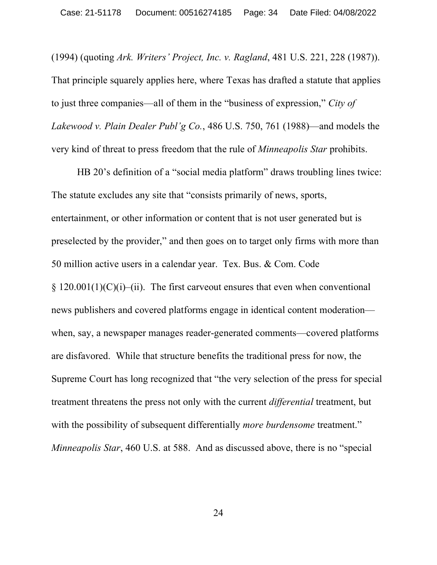(1994) (quoting *Ark. Writers' Project, Inc. v. Ragland*, 481 U.S. 221, 228 (1987)). That principle squarely applies here, where Texas has drafted a statute that applies to just three companies—all of them in the "business of expression," *City of Lakewood v. Plain Dealer Publ'g Co.*, 486 U.S. 750, 761 (1988)—and models the very kind of threat to press freedom that the rule of *Minneapolis Star* prohibits.

HB 20's definition of a "social media platform" draws troubling lines twice: The statute excludes any site that "consists primarily of news, sports, entertainment, or other information or content that is not user generated but is preselected by the provider," and then goes on to target only firms with more than 50 million active users in a calendar year. Tex. Bus. & Com. Code  $\S 120.001(1)(C)(i)$ –(ii). The first carveout ensures that even when conventional news publishers and covered platforms engage in identical content moderation when, say, a newspaper manages reader-generated comments—covered platforms are disfavored. While that structure benefits the traditional press for now, the Supreme Court has long recognized that "the very selection of the press for special treatment threatens the press not only with the current *differential* treatment, but with the possibility of subsequent differentially *more burdensome* treatment." *Minneapolis Star*, 460 U.S. at 588. And as discussed above, there is no "special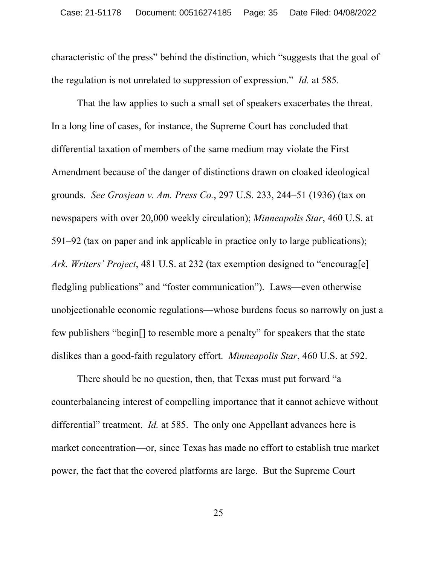characteristic of the press" behind the distinction, which "suggests that the goal of the regulation is not unrelated to suppression of expression." *Id.* at 585.

That the law applies to such a small set of speakers exacerbates the threat. In a long line of cases, for instance, the Supreme Court has concluded that differential taxation of members of the same medium may violate the First Amendment because of the danger of distinctions drawn on cloaked ideological grounds. *See Grosjean v. Am. Press Co.*, 297 U.S. 233, 244–51 (1936) (tax on newspapers with over 20,000 weekly circulation); *Minneapolis Star*, 460 U.S. at 591–92 (tax on paper and ink applicable in practice only to large publications); *Ark. Writers' Project*, 481 U.S. at 232 (tax exemption designed to "encourag[e] fledgling publications" and "foster communication"). Laws—even otherwise unobjectionable economic regulations—whose burdens focus so narrowly on just a few publishers "begin[] to resemble more a penalty" for speakers that the state dislikes than a good-faith regulatory effort. *Minneapolis Star*, 460 U.S. at 592.

There should be no question, then, that Texas must put forward "a counterbalancing interest of compelling importance that it cannot achieve without differential" treatment. *Id.* at 585. The only one Appellant advances here is market concentration—or, since Texas has made no effort to establish true market power, the fact that the covered platforms are large. But the Supreme Court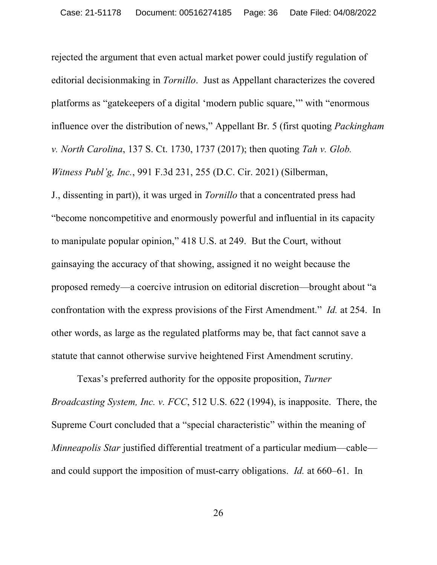rejected the argument that even actual market power could justify regulation of editorial decisionmaking in *Tornillo*. Just as Appellant characterizes the covered platforms as "gatekeepers of a digital 'modern public square,'" with "enormous influence over the distribution of news," Appellant Br. 5 (first quoting *Packingham v. North Carolina*, 137 S. Ct. 1730, 1737 (2017); then quoting *Tah v. Glob. Witness Publ'g, Inc.*, 991 F.3d 231, 255 (D.C. Cir. 2021) (Silberman, J., dissenting in part)), it was urged in *Tornillo* that a concentrated press had "become noncompetitive and enormously powerful and influential in its capacity to manipulate popular opinion," 418 U.S. at 249. But the Court, without gainsaying the accuracy of that showing, assigned it no weight because the proposed remedy—a coercive intrusion on editorial discretion—brought about "a confrontation with the express provisions of the First Amendment." *Id.* at 254. In other words, as large as the regulated platforms may be, that fact cannot save a statute that cannot otherwise survive heightened First Amendment scrutiny.

Texas's preferred authority for the opposite proposition, *Turner Broadcasting System, Inc. v. FCC*, 512 U.S. 622 (1994), is inapposite. There, the Supreme Court concluded that a "special characteristic" within the meaning of *Minneapolis Star* justified differential treatment of a particular medium—cable and could support the imposition of must-carry obligations. *Id.* at 660–61. In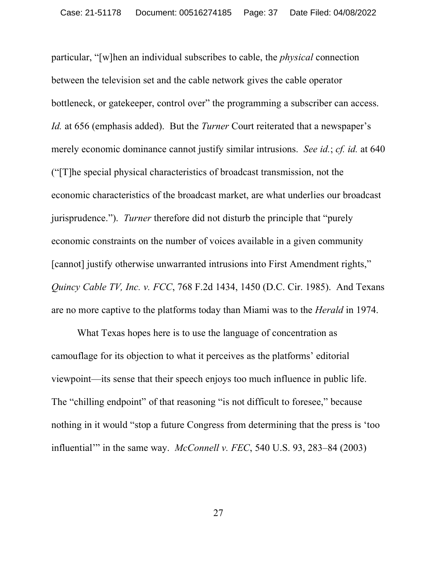particular, "[w]hen an individual subscribes to cable, the *physical* connection between the television set and the cable network gives the cable operator bottleneck, or gatekeeper, control over" the programming a subscriber can access. *Id.* at 656 (emphasis added). But the *Turner* Court reiterated that a newspaper's merely economic dominance cannot justify similar intrusions. *See id.*; *cf. id.* at 640 ("[T]he special physical characteristics of broadcast transmission, not the economic characteristics of the broadcast market, are what underlies our broadcast jurisprudence."). *Turner* therefore did not disturb the principle that "purely economic constraints on the number of voices available in a given community [cannot] justify otherwise unwarranted intrusions into First Amendment rights," *Quincy Cable TV, Inc. v. FCC*, 768 F.2d 1434, 1450 (D.C. Cir. 1985). And Texans are no more captive to the platforms today than Miami was to the *Herald* in 1974.

What Texas hopes here is to use the language of concentration as camouflage for its objection to what it perceives as the platforms' editorial viewpoint—its sense that their speech enjoys too much influence in public life. The "chilling endpoint" of that reasoning "is not difficult to foresee," because nothing in it would "stop a future Congress from determining that the press is 'too influential'" in the same way. *McConnell v. FEC*, 540 U.S. 93, 283–84 (2003)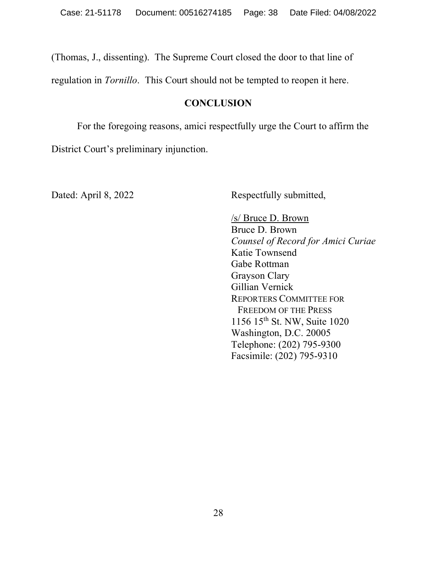(Thomas, J., dissenting). The Supreme Court closed the door to that line of

regulation in *Tornillo*. This Court should not be tempted to reopen it here.

#### **CONCLUSION**

For the foregoing reasons, amici respectfully urge the Court to affirm the District Court's preliminary injunction.

Dated: April 8, 2022 Respectfully submitted,

/s/ Bruce D. Brown Bruce D. Brown *Counsel of Record for Amici Curiae* Katie Townsend Gabe Rottman Grayson Clary Gillian Vernick REPORTERS COMMITTEE FOR FREEDOM OF THE PRESS 1156 15th St. NW, Suite 1020 Washington, D.C. 20005 Telephone: (202) 795-9300 Facsimile: (202) 795-9310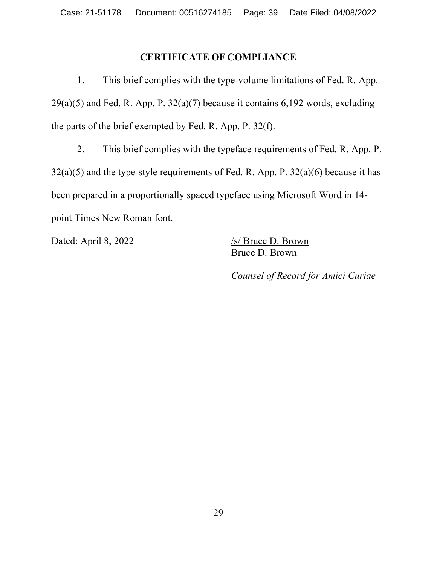#### **CERTIFICATE OF COMPLIANCE**

1. This brief complies with the type-volume limitations of Fed. R. App.  $29(a)(5)$  and Fed. R. App. P.  $32(a)(7)$  because it contains 6,192 words, excluding the parts of the brief exempted by Fed. R. App. P. 32(f).

2. This brief complies with the typeface requirements of Fed. R. App. P. 32(a)(5) and the type-style requirements of Fed. R. App. P. 32(a)(6) because it has been prepared in a proportionally spaced typeface using Microsoft Word in 14 point Times New Roman font.

Dated: April 8, 2022 /s/ Bruce D. Brown

Bruce D. Brown

*Counsel of Record for Amici Curiae*